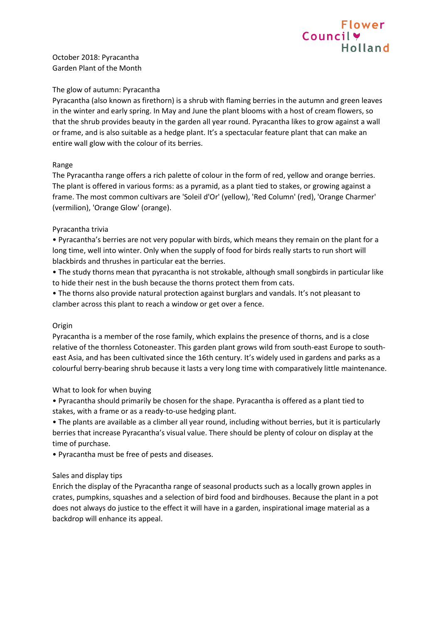# Flower Council v **Holland**

October 2018: Pyracantha Garden Plant of the Month

## The glow of autumn: Pyracantha

Pyracantha (also known as firethorn) is a shrub with flaming berries in the autumn and green leaves in the winter and early spring. In May and June the plant blooms with a host of cream flowers, so that the shrub provides beauty in the garden all year round. Pyracantha likes to grow against a wall or frame, and is also suitable as a hedge plant. It's a spectacular feature plant that can make an entire wall glow with the colour of its berries.

# Range

The Pyracantha range offers a rich palette of colour in the form of red, yellow and orange berries. The plant is offered in various forms: as a pyramid, as a plant tied to stakes, or growing against a frame. The most common cultivars are 'Soleil d'Or' (yellow), 'Red Column' (red), 'Orange Charmer' (vermilion), 'Orange Glow' (orange).

## Pyracantha trivia

• Pyracantha's berries are not very popular with birds, which means they remain on the plant for a long time, well into winter. Only when the supply of food for birds really starts to run short will blackbirds and thrushes in particular eat the berries.

• The study thorns mean that pyracantha is not strokable, although small songbirds in particular like to hide their nest in the bush because the thorns protect them from cats.

• The thorns also provide natural protection against burglars and vandals. It's not pleasant to clamber across this plant to reach a window or get over a fence.

#### Origin

Pyracantha is a member of the rose family, which explains the presence of thorns, and is a close relative of the thornless Cotoneaster. This garden plant grows wild from south-east Europe to southeast Asia, and has been cultivated since the 16th century. It's widely used in gardens and parks as a colourful berry-bearing shrub because it lasts a very long time with comparatively little maintenance.

# What to look for when buying

• Pyracantha should primarily be chosen for the shape. Pyracantha is offered as a plant tied to stakes, with a frame or as a ready-to-use hedging plant.

• The plants are available as a climber all year round, including without berries, but it is particularly berries that increase Pyracantha's visual value. There should be plenty of colour on display at the time of purchase.

• Pyracantha must be free of pests and diseases.

#### Sales and display tips

Enrich the display of the Pyracantha range of seasonal products such as a locally grown apples in crates, pumpkins, squashes and a selection of bird food and birdhouses. Because the plant in a pot does not always do justice to the effect it will have in a garden, inspirational image material as a backdrop will enhance its appeal.